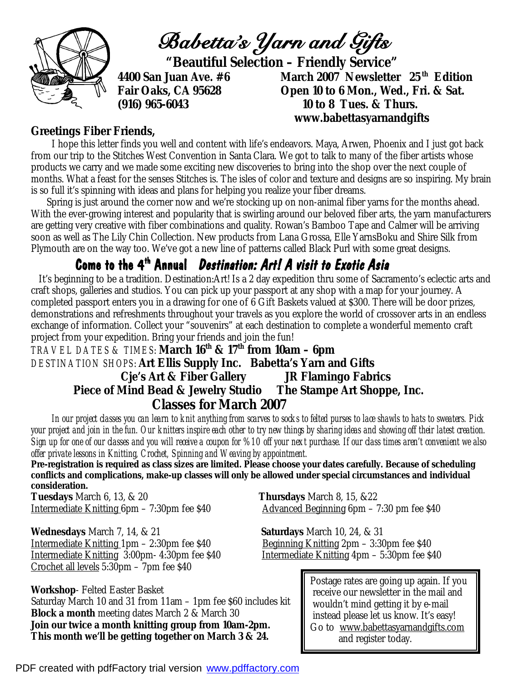

*Babetta's Yarn and Gifts* 

 **"Beautiful Selection – Friendly Service"** 

**4400 San Juan Ave. #6 March 2007 Newsletter 25 th Edition Open 10 to 6 Mon., Wed., Fri. & Sat. (916) 965-6043 10 to 8 Tues. & Thurs. www.babettasyarnandgifts** 

## **Greetings Fiber Friends,**

 I hope this letter finds you well and content with life's endeavors. Maya, Arwen, Phoenix and I just got back from our trip to the Stitches West Convention in Santa Clara. We got to talk to many of the fiber artists whose products we carry and we made some exciting new discoveries to bring into the shop over the next couple of months. What a feast for the senses Stitches is. The isles of color and texture and designs are so inspiring. My brain is so full it's spinning with ideas and plans for helping you realize your fiber dreams.

 Spring is just around the corner now and we're stocking up on non-animal fiber yarns for the months ahead. With the ever-growing interest and popularity that is swirling around our beloved fiber arts, the yarn manufacturers are getting very creative with fiber combinations and quality. Rowan's Bamboo Tape and Calmer will be arriving soon as well as The Lily Chin Collection. New products from Lana Grossa, Elle YarnsBoku and Shire Silk from Plymouth are on the way too. We've got a new line of patterns called Black Purl with some great designs.

# **Come to the 4th Annual** *Destination: Art! A visit to Exotic Asia*

 It's beginning to be a tradition. Destination:Art! Is a 2 day expedition thru some of Sacramento's eclectic arts and craft shops, galleries and studios. You can pick up your passport at any shop with a map for your journey. A completed passport enters you in a drawing for one of 6 Gift Baskets valued at \$300. There will be door prizes, demonstrations and refreshments throughout your travels as you explore the world of crossover arts in an endless exchange of information. Collect your "souvenirs" at each destination to complete a wonderful memento craft project from your expedition. Bring your friends and join the fun!

*TRAVEL DATES & TIMES*: **March 16th & 17th from 10am – 6pm** *DESTINATION SHOPS*: **Art Ellis Supply Inc. Babetta's Yarn and Gifts Cje's Art & Fiber Gallery JR Flamingo Fabrics Piece of Mind Bead & Jewelry Studio The Stampe Art Shoppe, Inc. Classes for March 2007** 

 *In our project classes you can learn to knit anything from scarves to socks to felted purses to lace shawls to hats to sweaters. Pick your project and join in the fun. Our knitters inspire each other to try new things by sharing ideas and showing off their latest creation. Sign up for one of our classes and you will receive a coupon for %10 off your next purchase. If our class times aren't convenient we also offer private lessons in Knitting, Crochet, Spinning and Weaving by appointment.* 

**Pre-registration is required as class sizes are limited. Please choose your dates carefully. Because of scheduling conflicts and complications, make-up classes will only be allowed under special circumstances and individual consideration.** 

**Tuesdays** March 6, 13, & 20 **Thursdays** March 8, 15, &22 Intermediate Knitting 6pm – 7:30pm fee \$40 Advanced Beginning 6pm – 7:30 pm fee \$40

**Wednesdays** March 7, 14, & 21 **Saturdays** March 10, 24, & 31 Intermediate Knitting 1pm – 2:30pm fee \$40 Beginning Knitting 2pm – 3:30pm fee \$40 Intermediate Knitting 3:00pm- 4:30pm fee \$40 Intermediate Knitting 4pm – 5:30pm fee \$40 Crochet all levels 5:30pm – 7pm fee \$40

**Workshop**- Felted Easter Basket Saturday March 10 and 31 from 11am – 1pm fee \$60 includes kit **Block a month** meeting dates March 2 & March 30 *Join our twice a month knitting group from 10am-2pm. This month we'll be getting together on March 3 & 24.* 

Postage rates are going up again. If you receive our newsletter in the mail and wouldn't mind getting it by e-mail instead please let us know. It's easy! Go to [www.babettasyarnandgifts.com](http://www.babettasyarnandgifts.com) and register today.